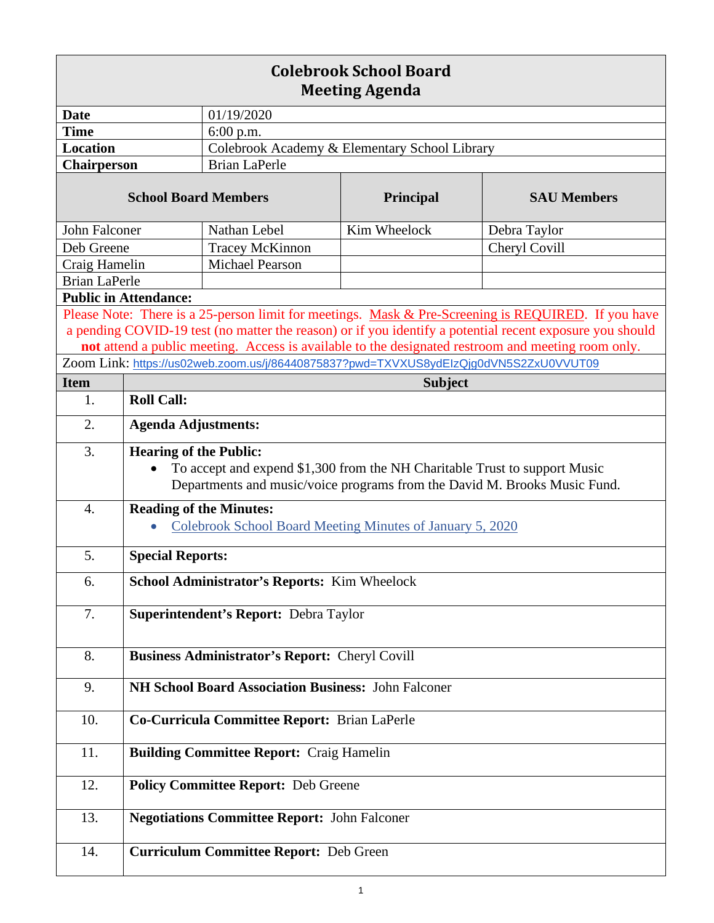| <b>Colebrook School Board</b><br><b>Meeting Agenda</b>                                                                                                                                                                                                                                                                |                                                                                                                                                                                          |                                               |                                                                                       |               |  |
|-----------------------------------------------------------------------------------------------------------------------------------------------------------------------------------------------------------------------------------------------------------------------------------------------------------------------|------------------------------------------------------------------------------------------------------------------------------------------------------------------------------------------|-----------------------------------------------|---------------------------------------------------------------------------------------|---------------|--|
| <b>Date</b>                                                                                                                                                                                                                                                                                                           |                                                                                                                                                                                          | 01/19/2020                                    |                                                                                       |               |  |
| <b>Time</b>                                                                                                                                                                                                                                                                                                           |                                                                                                                                                                                          | $6:00$ p.m.                                   |                                                                                       |               |  |
| <b>Location</b>                                                                                                                                                                                                                                                                                                       |                                                                                                                                                                                          | Colebrook Academy & Elementary School Library |                                                                                       |               |  |
| <b>Chairperson</b>                                                                                                                                                                                                                                                                                                    |                                                                                                                                                                                          | <b>Brian LaPerle</b>                          |                                                                                       |               |  |
| <b>School Board Members</b>                                                                                                                                                                                                                                                                                           |                                                                                                                                                                                          | Principal                                     | <b>SAU Members</b>                                                                    |               |  |
| John Falconer                                                                                                                                                                                                                                                                                                         |                                                                                                                                                                                          | Nathan Lebel                                  | Kim Wheelock                                                                          | Debra Taylor  |  |
| Deb Greene                                                                                                                                                                                                                                                                                                            |                                                                                                                                                                                          | <b>Tracey McKinnon</b>                        |                                                                                       | Cheryl Covill |  |
| Craig Hamelin                                                                                                                                                                                                                                                                                                         |                                                                                                                                                                                          | <b>Michael Pearson</b>                        |                                                                                       |               |  |
| <b>Brian LaPerle</b>                                                                                                                                                                                                                                                                                                  |                                                                                                                                                                                          |                                               |                                                                                       |               |  |
| <b>Public in Attendance:</b>                                                                                                                                                                                                                                                                                          |                                                                                                                                                                                          |                                               |                                                                                       |               |  |
| Please Note: There is a 25-person limit for meetings. Mask & Pre-Screening is REQUIRED. If you have<br>a pending COVID-19 test (no matter the reason) or if you identify a potential recent exposure you should<br>not attend a public meeting. Access is available to the designated restroom and meeting room only. |                                                                                                                                                                                          |                                               |                                                                                       |               |  |
|                                                                                                                                                                                                                                                                                                                       |                                                                                                                                                                                          |                                               | Zoom Link: https://us02web.zoom.us/j/86440875837?pwd=TXVXUS8ydElzQjg0dVN5S2ZxU0VVUT09 |               |  |
| <b>Item</b>                                                                                                                                                                                                                                                                                                           | <b>Subject</b>                                                                                                                                                                           |                                               |                                                                                       |               |  |
| 1.                                                                                                                                                                                                                                                                                                                    | <b>Roll Call:</b>                                                                                                                                                                        |                                               |                                                                                       |               |  |
| 2.                                                                                                                                                                                                                                                                                                                    | <b>Agenda Adjustments:</b>                                                                                                                                                               |                                               |                                                                                       |               |  |
| 3.                                                                                                                                                                                                                                                                                                                    | <b>Hearing of the Public:</b><br>To accept and expend \$1,300 from the NH Charitable Trust to support Music<br>Departments and music/voice programs from the David M. Brooks Music Fund. |                                               |                                                                                       |               |  |
| 4.                                                                                                                                                                                                                                                                                                                    | <b>Reading of the Minutes:</b><br>Colebrook School Board Meeting Minutes of January 5, 2020                                                                                              |                                               |                                                                                       |               |  |
| 5.                                                                                                                                                                                                                                                                                                                    | <b>Special Reports:</b>                                                                                                                                                                  |                                               |                                                                                       |               |  |
| 6.                                                                                                                                                                                                                                                                                                                    | School Administrator's Reports: Kim Wheelock                                                                                                                                             |                                               |                                                                                       |               |  |
| 7.                                                                                                                                                                                                                                                                                                                    | Superintendent's Report: Debra Taylor                                                                                                                                                    |                                               |                                                                                       |               |  |
| 8.                                                                                                                                                                                                                                                                                                                    | <b>Business Administrator's Report: Cheryl Covill</b>                                                                                                                                    |                                               |                                                                                       |               |  |
| 9.                                                                                                                                                                                                                                                                                                                    | NH School Board Association Business: John Falconer                                                                                                                                      |                                               |                                                                                       |               |  |
| 10.                                                                                                                                                                                                                                                                                                                   | Co-Curricula Committee Report: Brian LaPerle                                                                                                                                             |                                               |                                                                                       |               |  |
| 11.                                                                                                                                                                                                                                                                                                                   | <b>Building Committee Report: Craig Hamelin</b>                                                                                                                                          |                                               |                                                                                       |               |  |
| 12.                                                                                                                                                                                                                                                                                                                   | <b>Policy Committee Report: Deb Greene</b>                                                                                                                                               |                                               |                                                                                       |               |  |
| 13.                                                                                                                                                                                                                                                                                                                   | <b>Negotiations Committee Report: John Falconer</b>                                                                                                                                      |                                               |                                                                                       |               |  |
| 14.                                                                                                                                                                                                                                                                                                                   |                                                                                                                                                                                          | <b>Curriculum Committee Report: Deb Green</b> |                                                                                       |               |  |